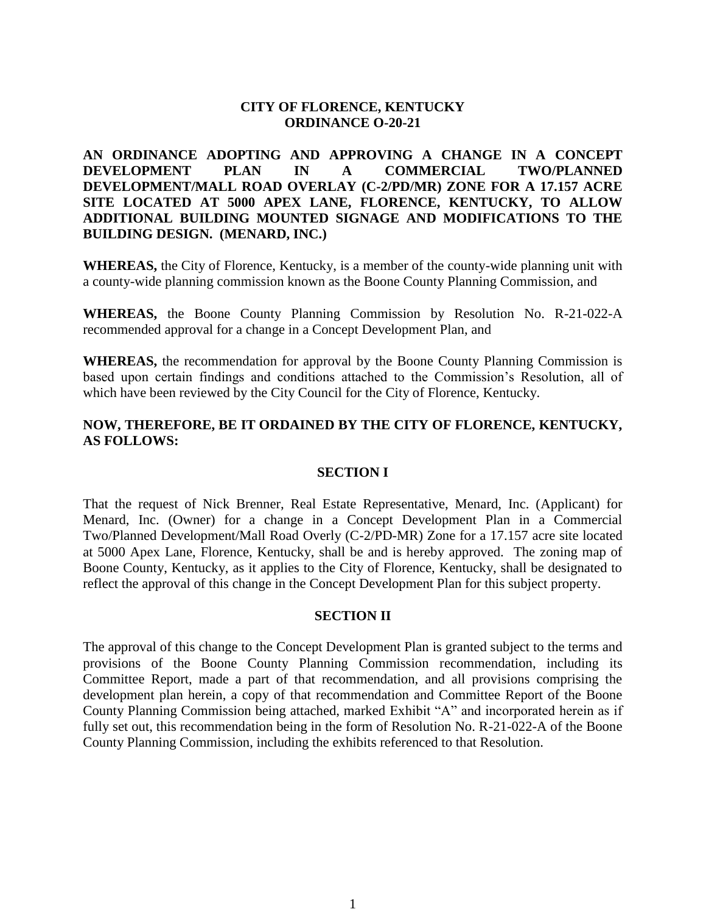# **CITY OF FLORENCE, KENTUCKY ORDINANCE O-20-21**

**AN ORDINANCE ADOPTING AND APPROVING A CHANGE IN A CONCEPT DEVELOPMENT PLAN IN A COMMERCIAL TWO/PLANNED DEVELOPMENT/MALL ROAD OVERLAY (C-2/PD/MR) ZONE FOR A 17.157 ACRE SITE LOCATED AT 5000 APEX LANE, FLORENCE, KENTUCKY, TO ALLOW ADDITIONAL BUILDING MOUNTED SIGNAGE AND MODIFICATIONS TO THE BUILDING DESIGN. (MENARD, INC.)**

**WHEREAS,** the City of Florence, Kentucky, is a member of the county-wide planning unit with a county-wide planning commission known as the Boone County Planning Commission, and

**WHEREAS,** the Boone County Planning Commission by Resolution No. R-21-022-A recommended approval for a change in a Concept Development Plan, and

**WHEREAS,** the recommendation for approval by the Boone County Planning Commission is based upon certain findings and conditions attached to the Commission's Resolution, all of which have been reviewed by the City Council for the City of Florence, Kentucky.

# **NOW, THEREFORE, BE IT ORDAINED BY THE CITY OF FLORENCE, KENTUCKY, AS FOLLOWS:**

# **SECTION I**

That the request of Nick Brenner, Real Estate Representative, Menard, Inc. (Applicant) for Menard, Inc. (Owner) for a change in a Concept Development Plan in a Commercial Two/Planned Development/Mall Road Overly (C-2/PD-MR) Zone for a 17.157 acre site located at 5000 Apex Lane, Florence, Kentucky, shall be and is hereby approved. The zoning map of Boone County, Kentucky, as it applies to the City of Florence, Kentucky, shall be designated to reflect the approval of this change in the Concept Development Plan for this subject property.

## **SECTION II**

The approval of this change to the Concept Development Plan is granted subject to the terms and provisions of the Boone County Planning Commission recommendation, including its Committee Report, made a part of that recommendation, and all provisions comprising the development plan herein, a copy of that recommendation and Committee Report of the Boone County Planning Commission being attached, marked Exhibit "A" and incorporated herein as if fully set out, this recommendation being in the form of Resolution No. R-21-022-A of the Boone County Planning Commission, including the exhibits referenced to that Resolution.